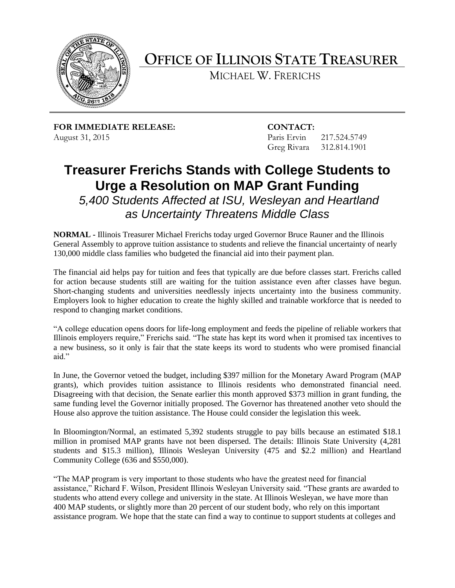

**OFFICE OF ILLINOIS STATE TREASURER**

MICHAEL W. FRERICHS

**FOR IMMEDIATE RELEASE: CONTACT:** August 31, 2015 **Paris Ervin** 217.524.5749

Greg Rivara 312.814.1901

## **Treasurer Frerichs Stands with College Students to Urge a Resolution on MAP Grant Funding**

*5,400 Students Affected at ISU, Wesleyan and Heartland as Uncertainty Threatens Middle Class*

**NORMAL -** Illinois Treasurer Michael Frerichs today urged Governor Bruce Rauner and the Illinois General Assembly to approve tuition assistance to students and relieve the financial uncertainty of nearly 130,000 middle class families who budgeted the financial aid into their payment plan.

The financial aid helps pay for tuition and fees that typically are due before classes start. Frerichs called for action because students still are waiting for the tuition assistance even after classes have begun. Short-changing students and universities needlessly injects uncertainty into the business community. Employers look to higher education to create the highly skilled and trainable workforce that is needed to respond to changing market conditions.

"A college education opens doors for life-long employment and feeds the pipeline of reliable workers that Illinois employers require," Frerichs said. "The state has kept its word when it promised tax incentives to a new business, so it only is fair that the state keeps its word to students who were promised financial aid."

In June, the Governor vetoed the budget, including \$397 million for the Monetary Award Program (MAP grants), which provides tuition assistance to Illinois residents who demonstrated financial need. Disagreeing with that decision, the Senate earlier this month approved \$373 million in grant funding, the same funding level the Governor initially proposed. The Governor has threatened another veto should the House also approve the tuition assistance. The House could consider the legislation this week.

In Bloomington/Normal, an estimated 5,392 students struggle to pay bills because an estimated \$18.1 million in promised MAP grants have not been dispersed. The details: Illinois State University (4,281 students and \$15.3 million), Illinois Wesleyan University (475 and \$2.2 million) and Heartland Community College (636 and \$550,000).

"The MAP program is very important to those students who have the greatest need for financial assistance," Richard F. Wilson, President Illinois Wesleyan University said. "These grants are awarded to students who attend every college and university in the state. At Illinois Wesleyan, we have more than 400 MAP students, or slightly more than 20 percent of our student body, who rely on this important assistance program. We hope that the state can find a way to continue to support students at colleges and